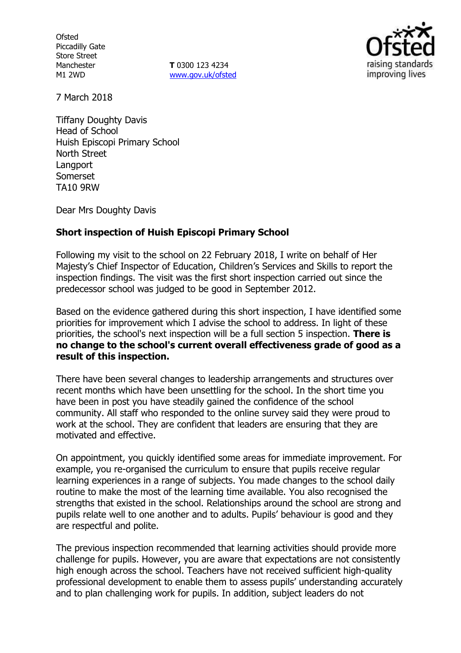**Ofsted** Piccadilly Gate Store Street Manchester M1 2WD

**T** 0300 123 4234 www.gov.uk/ofsted



7 March 2018

Tiffany Doughty Davis Head of School Huish Episcopi Primary School North Street Langport Somerset TA10 9RW

Dear Mrs Doughty Davis

# **Short inspection of Huish Episcopi Primary School**

Following my visit to the school on 22 February 2018, I write on behalf of Her Majesty's Chief Inspector of Education, Children's Services and Skills to report the inspection findings. The visit was the first short inspection carried out since the predecessor school was judged to be good in September 2012.

Based on the evidence gathered during this short inspection, I have identified some priorities for improvement which I advise the school to address. In light of these priorities, the school's next inspection will be a full section 5 inspection. **There is no change to the school's current overall effectiveness grade of good as a result of this inspection.**

There have been several changes to leadership arrangements and structures over recent months which have been unsettling for the school. In the short time you have been in post you have steadily gained the confidence of the school community. All staff who responded to the online survey said they were proud to work at the school. They are confident that leaders are ensuring that they are motivated and effective.

On appointment, you quickly identified some areas for immediate improvement. For example, you re-organised the curriculum to ensure that pupils receive regular learning experiences in a range of subjects. You made changes to the school daily routine to make the most of the learning time available. You also recognised the strengths that existed in the school. Relationships around the school are strong and pupils relate well to one another and to adults. Pupils' behaviour is good and they are respectful and polite.

The previous inspection recommended that learning activities should provide more challenge for pupils. However, you are aware that expectations are not consistently high enough across the school. Teachers have not received sufficient high-quality professional development to enable them to assess pupils' understanding accurately and to plan challenging work for pupils. In addition, subject leaders do not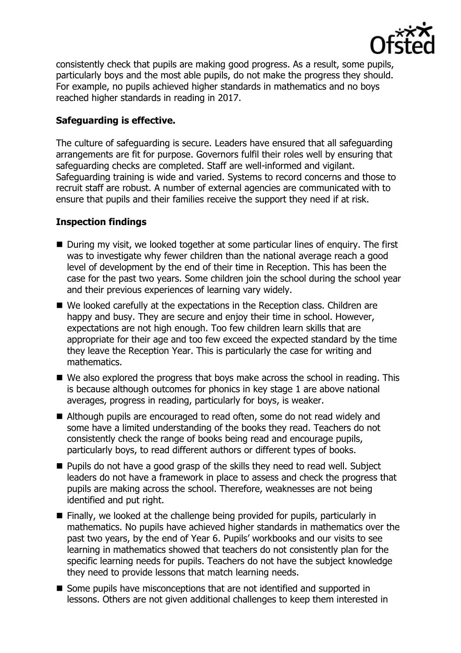

consistently check that pupils are making good progress. As a result, some pupils, particularly boys and the most able pupils, do not make the progress they should. For example, no pupils achieved higher standards in mathematics and no boys reached higher standards in reading in 2017.

# **Safeguarding is effective.**

The culture of safeguarding is secure. Leaders have ensured that all safeguarding arrangements are fit for purpose. Governors fulfil their roles well by ensuring that safeguarding checks are completed. Staff are well-informed and vigilant. Safeguarding training is wide and varied. Systems to record concerns and those to recruit staff are robust. A number of external agencies are communicated with to ensure that pupils and their families receive the support they need if at risk.

# **Inspection findings**

- During my visit, we looked together at some particular lines of enquiry. The first was to investigate why fewer children than the national average reach a good level of development by the end of their time in Reception. This has been the case for the past two years. Some children join the school during the school year and their previous experiences of learning vary widely.
- We looked carefully at the expectations in the Reception class. Children are happy and busy. They are secure and enjoy their time in school. However, expectations are not high enough. Too few children learn skills that are appropriate for their age and too few exceed the expected standard by the time they leave the Reception Year. This is particularly the case for writing and mathematics.
- We also explored the progress that boys make across the school in reading. This is because although outcomes for phonics in key stage 1 are above national averages, progress in reading, particularly for boys, is weaker.
- Although pupils are encouraged to read often, some do not read widely and some have a limited understanding of the books they read. Teachers do not consistently check the range of books being read and encourage pupils, particularly boys, to read different authors or different types of books.
- **Pupils do not have a good grasp of the skills they need to read well. Subject** leaders do not have a framework in place to assess and check the progress that pupils are making across the school. Therefore, weaknesses are not being identified and put right.
- Finally, we looked at the challenge being provided for pupils, particularly in mathematics. No pupils have achieved higher standards in mathematics over the past two years, by the end of Year 6. Pupils' workbooks and our visits to see learning in mathematics showed that teachers do not consistently plan for the specific learning needs for pupils. Teachers do not have the subject knowledge they need to provide lessons that match learning needs.
- Some pupils have misconceptions that are not identified and supported in lessons. Others are not given additional challenges to keep them interested in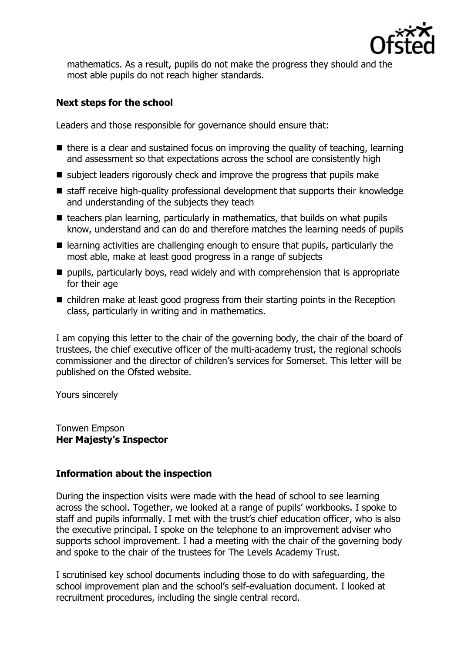

mathematics. As a result, pupils do not make the progress they should and the most able pupils do not reach higher standards.

# **Next steps for the school**

Leaders and those responsible for governance should ensure that:

- $\blacksquare$  there is a clear and sustained focus on improving the quality of teaching, learning and assessment so that expectations across the school are consistently high
- subject leaders rigorously check and improve the progress that pupils make
- staff receive high-quality professional development that supports their knowledge and understanding of the subjects they teach
- $\blacksquare$  teachers plan learning, particularly in mathematics, that builds on what pupils know, understand and can do and therefore matches the learning needs of pupils
- $\blacksquare$  learning activities are challenging enough to ensure that pupils, particularly the most able, make at least good progress in a range of subjects
- pupils, particularly boys, read widely and with comprehension that is appropriate for their age
- children make at least good progress from their starting points in the Reception class, particularly in writing and in mathematics.

I am copying this letter to the chair of the governing body, the chair of the board of trustees, the chief executive officer of the multi-academy trust, the regional schools commissioner and the director of children's services for Somerset. This letter will be published on the Ofsted website.

Yours sincerely

Tonwen Empson **Her Majesty's Inspector**

## **Information about the inspection**

During the inspection visits were made with the head of school to see learning across the school. Together, we looked at a range of pupils' workbooks. I spoke to staff and pupils informally. I met with the trust's chief education officer, who is also the executive principal. I spoke on the telephone to an improvement adviser who supports school improvement. I had a meeting with the chair of the governing body and spoke to the chair of the trustees for The Levels Academy Trust.

I scrutinised key school documents including those to do with safeguarding, the school improvement plan and the school's self-evaluation document. I looked at recruitment procedures, including the single central record.